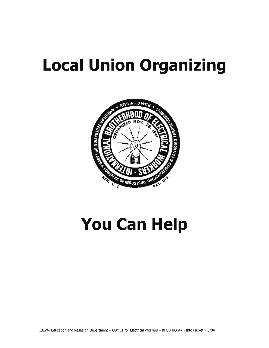# **Local Union Organizing**



# **You Can Help**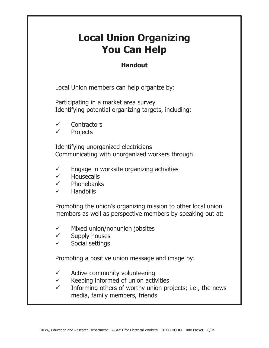# **Local Union Organizing You Can Help**

# **Handout**

Local Union members can help organize by:

Participating in a market area survey Identifying potential organizing targets, including:

- $\checkmark$  Contractors
- **Projects**

Identifying unorganized electricians Communicating with unorganized workers through:

- $\checkmark$  Engage in worksite organizing activities
- $\checkmark$  Housecalls<br> $\checkmark$  Phonehank
- **Phonebanks**
- $\checkmark$  Handbills

Promoting the union's organizing mission to other local union members as well as perspective members by speaking out at:

- $\checkmark$  Mixed union/nonunion jobsites
- $\checkmark$  Supply houses
- $\checkmark$  Social settings

Promoting a positive union message and image by:

- $\checkmark$  Active community volunteering
- $\checkmark$  Keeping informed of union activities
- $\checkmark$  Informing others of worthy union projects; i.e., the news media, family members, friends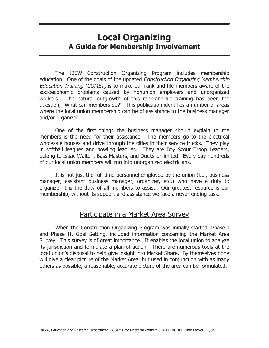# **Local Organizing A Guide for Membership Involvement**

The IBEW Construction Organizing Program includes membership education. One of the goals of the updated Construction Organizing Membership Education Training (COMET) is to make our rank-and-file members aware of the socioeconomic problems caused by nonunion employers and unorganized workers. The natural outgrowth of this rank-and-file training has been the question, "What can members do?" This publication identifies a number of areas where the local union membership can be of assistance to the business manager and/or organizer.

One of the first things the business manager should explain to the members is the need for their assistance. The members go to the electrical wholesale houses and drive through the cities in their service trucks. They play in softball leagues and bowling leagues. They are Boy Scout Troop Leaders, belong to Isaac Walton, Bass Masters, and Ducks Unlimited. Every day hundreds of our local union members will run into unorganized electricians.

It is not just the full-time personnel employed by the union (i.e., business manager, assistant business manager, organizer, etc.) who have a duty to organize; it is the duty of all members to assist. Our greatest resource is our membership, without its support and assistance we face a never-ending task.

#### Participate in a Market Area Survey

When the Construction Organizing Program was initially started, Phase I and Phase II, Goal Setting, included information concerning the Market Area Survey. This survey is of great importance. It enables the local union to analyze its jurisdiction and formulate a plan of action. There are numerous tools at the local union's disposal to help give insight into Market Share. By themselves none will give a clear picture of the Market Area, but used in conjunction with as many others as possible, a reasonable, accurate picture of the area can be formulated.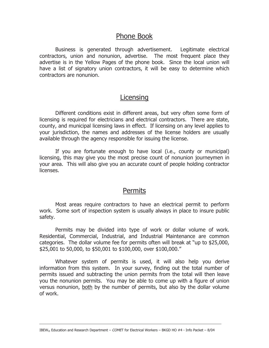### Phone Book

Business is generated through advertisement. Legitimate electrical contractors, union and nonunion, advertise. The most frequent place they advertise is in the Yellow Pages of the phone book. Since the local union will have a list of signatory union contractors, it will be easy to determine which contractors are nonunion.

#### **Licensing**

Different conditions exist in different areas, but very often some form of licensing is required for electricians and electrical contractors. There are state, county, and municipal licensing laws in effect. If licensing on any level applies to your jurisdiction, the names and addresses of the license holders are usually available through the agency responsible for issuing the license.

If you are fortunate enough to have local (i.e., county or municipal) licensing, this may give you the most precise count of nonunion journeymen in your area. This will also give you an accurate count of people holding contractor licenses.

#### **Permits**

Most areas require contractors to have an electrical permit to perform work. Some sort of inspection system is usually always in place to insure public safety.

Permits may be divided into type of work or dollar volume of work. Residential, Commercial, Industrial, and Industrial Maintenance are common categories. The dollar volume fee for permits often will break at "up to  $$25,000$ , \$25,001 to 50,000, to \$50,001 to \$100,000, over \$100,000."

Whatever system of permits is used, it will also help you derive information from this system. In your survey, finding out the total number of permits issued and subtracting the union permits from the total will then leave you the nonunion permits. You may be able to come up with a figure of union versus nonunion, both by the number of permits, but also by the dollar volume of work.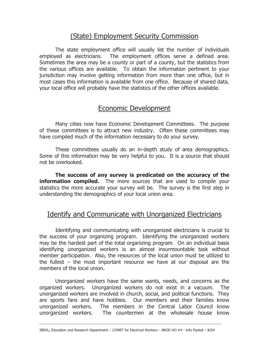# (State) Employment Security Commission

The state employment office will usually list the number of individuals employed as electricians. The employment offices serve a defined area. Sometimes the area may be a county or part of a county, but the statistics from the various offices are available. To obtain the information pertinent to your jurisdiction may involve getting information from more than one office, but in most cases this information is available from one office. Because of shared data, your local office will probably have the statistics of the other offices available.

## Economic Development

Many cities now have Economic Development Committees. The purpose of these committees is to attract new industry. Often these committees may have compiled much of the information necessary to do your survey.

These committees usually do an in-depth study of area demographics. Some of this information may be very helpful to you. It is a source that should not be overlooked.

**The success of any survey is predicated on the accuracy of the information compiled.** The more sources that are used to compile your statistics the more accurate your survey will be. The survey is the first step in understanding the demographics of your local union area.

#### Identify and Communicate with Unorganized Electricians

Identifying and communicating with unorganized electricians is crucial to the success of your organizing program. Identifying the unorganized workers may be the hardest part of the total organizing program. On an individual basis identifying unorganized workers is an almost insurmountable task without member participation. Also, the resources of the local union must be utilized to the fullest  $-$  the most important resource we have at our disposal are the members of the local union.

Unorganized workers have the same wants, needs, and concerns as the organized workers. Unorganized workers do not exist in a vacuum. The unorganized workers are involved in church, social, and political functions. They are sports fans and have hobbies. Our members and their families know unorganized workers. The members in the Central Labor Council know unorganized workers. The countermen at the wholesale house know

IBEW® Education and Research Department - COMET for Electrical Workers - BKGD HO #4 - Info Packet - 8/04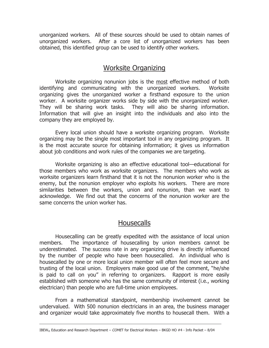unorganized workers. All of these sources should be used to obtain names of unorganized workers. After a core list of unorganized workers has been obtained, this identified group can be used to identify other workers.

### Worksite Organizing

Worksite organizing nonunion jobs is the most effective method of both identifying and communicating with the unorganized workers. Worksite organizing gives the unorganized worker a firsthand exposure to the union worker. A worksite organizer works side by side with the unorganized worker. They will be sharing work tasks. They will also be sharing information. Information that will give an insight into the individuals and also into the company they are employed by.

Every local union should have a worksite organizing program. Worksite organizing may be the single most important tool in any organizing program. It is the most accurate source for obtaining information; it gives us information about job conditions and work rules of the companies we are targeting.

Worksite organizing is also an effective educational tool–educational for those members who work as worksite organizers. The members who work as worksite organizers learn firsthand that it is not the nonunion worker who is the enemy, but the nonunion employer who exploits his workers. There are more similarities between the workers, union and nonunion, than we want to acknowledge. We find out that the concerns of the nonunion worker are the same concerns the union worker has.

# **Housecalls**

Housecalling can be greatly expedited with the assistance of local union members. The importance of housecalling by union members cannot be underestimated. The success rate in any organizing drive is directly influenced by the number of people who have been housecalled. An individual who is housecalled by one or more local union member will often feel more secure and trusting of the local union. Employers make good use of the comment, "he/she is paid to call on you" in referring to organizers. Rapport is more easily established with someone who has the same community of interest (i.e., working electrician) than people who are full-time union employees.

From a mathematical standpoint, membership involvement cannot be undervalued. With 500 nonunion electricians in an area, the business manager and organizer would take approximately five months to housecall them. With a

IBEW® Education and Research Department - COMET for Electrical Workers - BKGD HO #4 - Info Packet - 8/04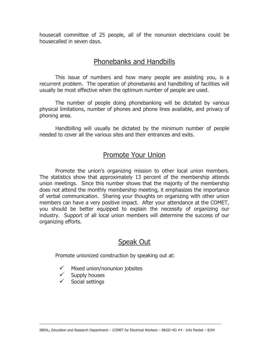housecall committee of 25 people, all of the nonunion electricians could be housecalled in seven days.

# Phonebanks and Handbills

This issue of numbers and how many people are assisting you, is a recurrent problem. The operation of phonebanks and handbilling of facilities will usually be most effective when the optimum number of people are used.

The number of people doing phonebanking will be dictated by various physical limitations, number of phones and phone lines available, and privacy of phoning area.

Handbilling will usually be dictated by the minimum number of people needed to cover all the various sites and their entrances and exits.

## Promote Your Union

Promote the unionís organizing mission to other local union members. The statistics show that approximately 13 percent of the membership attends union meetings. Since this number shows that the majority of the membership does not attend the monthly membership meeting, it emphasizes the importance of verbal communication. Sharing your thoughts on organizing with other union members can have a very positive impact. After your attendance at the COMET, you should be better equipped to explain the necessity of organizing our industry. Support of all local union members will determine the success of our organizing efforts.

# Speak Out

Promote unionized construction by speaking out at:

- Mixed union/nonunion jobsites
- $\checkmark$  Supply houses
- $\checkmark$  Social settings